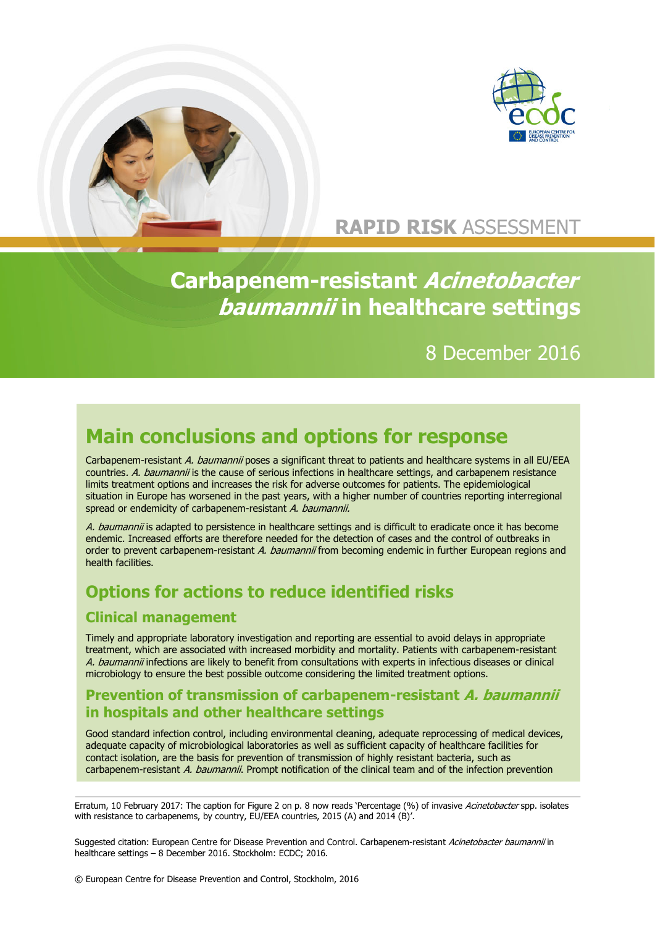



## **RAPID RISK** ASSESSMENT

 **Carbapenem-resistant Acinetobacter baumannii in healthcare settings**

## 8 December 2016

# **Main conclusions and options for response**

Carbapenem-resistant A. baumannii poses a significant threat to patients and healthcare systems in all EU/EEA countries. A. baumannii is the cause of serious infections in healthcare settings, and carbapenem resistance limits treatment options and increases the risk for adverse outcomes for patients. The epidemiological situation in Europe has worsened in the past years, with a higher number of countries reporting interregional spread or endemicity of carbapenem-resistant A. baumannii.

A. baumannii is adapted to persistence in healthcare settings and is difficult to eradicate once it has become endemic. Increased efforts are therefore needed for the detection of cases and the control of outbreaks in order to prevent carbapenem-resistant A. baumannii from becoming endemic in further European regions and health facilities.

## **Options for actions to reduce identified risks**

#### **Clinical management**

Timely and appropriate laboratory investigation and reporting are essential to avoid delays in appropriate treatment, which are associated with increased morbidity and mortality. Patients with carbapenem-resistant A. baumannii infections are likely to benefit from consultations with experts in infectious diseases or clinical microbiology to ensure the best possible outcome considering the limited treatment options.

#### **Prevention of transmission of carbapenem-resistant A. baumannii in hospitals and other healthcare settings**

Good standard infection control, including environmental cleaning, adequate reprocessing of medical devices, adequate capacity of microbiological laboratories as well as sufficient capacity of healthcare facilities for contact isolation, are the basis for prevention of transmission of highly resistant bacteria, such as carbapenem-resistant A. baumannii. Prompt notification of the clinical team and of the infection prevention

Erratum, 10 February 2017: The caption for Figure 2 on p. 8 now reads 'Percentage (%) of invasive Acinetobacter spp. isolates with resistance to carbapenems, by country, EU/EEA countries, 2015 (A) and 2014 (B)'.

Suggested citation: European Centre for Disease Prevention and Control. Carbapenem-resistant Acinetobacter baumannii in healthcare settings – 8 December 2016. Stockholm: ECDC; 2016.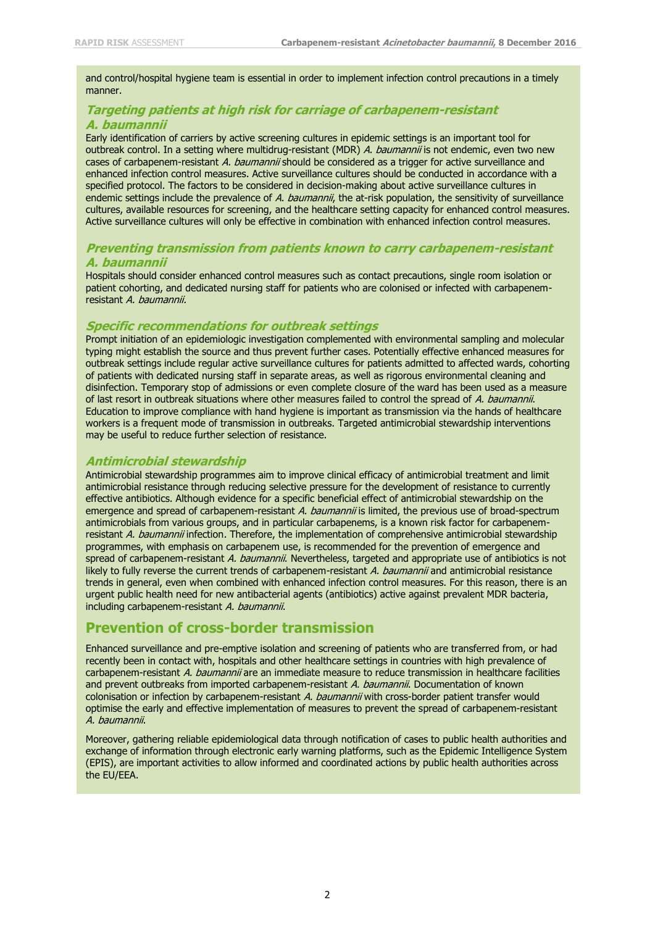and control/hospital hygiene team is essential in order to implement infection control precautions in a timely manner.

#### **Targeting patients at high risk for carriage of carbapenem-resistant A. baumannii**

Early identification of carriers by active screening cultures in epidemic settings is an important tool for outbreak control. In a setting where multidrug-resistant (MDR) A. baumannii is not endemic, even two new cases of carbapenem-resistant A. baumannii should be considered as a trigger for active surveillance and enhanced infection control measures. Active surveillance cultures should be conducted in accordance with a specified protocol. The factors to be considered in decision-making about active surveillance cultures in endemic settings include the prevalence of A. baumannii, the at-risk population, the sensitivity of surveillance cultures, available resources for screening, and the healthcare setting capacity for enhanced control measures. Active surveillance cultures will only be effective in combination with enhanced infection control measures.

#### **Preventing transmission from patients known to carry carbapenem-resistant A. baumannii**

Hospitals should consider enhanced control measures such as contact precautions, single room isolation or patient cohorting, and dedicated nursing staff for patients who are colonised or infected with carbapenemresistant A. baumannii.

#### **Specific recommendations for outbreak settings**

Prompt initiation of an epidemiologic investigation complemented with environmental sampling and molecular typing might establish the source and thus prevent further cases. Potentially effective enhanced measures for outbreak settings include regular active surveillance cultures for patients admitted to affected wards, cohorting of patients with dedicated nursing staff in separate areas, as well as rigorous environmental cleaning and disinfection. Temporary stop of admissions or even complete closure of the ward has been used as a measure of last resort in outbreak situations where other measures failed to control the spread of A. baumannii. Education to improve compliance with hand hygiene is important as transmission via the hands of healthcare workers is a frequent mode of transmission in outbreaks. Targeted antimicrobial stewardship interventions may be useful to reduce further selection of resistance.

#### **Antimicrobial stewardship**

Antimicrobial stewardship programmes aim to improve clinical efficacy of antimicrobial treatment and limit antimicrobial resistance through reducing selective pressure for the development of resistance to currently effective antibiotics. Although evidence for a specific beneficial effect of antimicrobial stewardship on the emergence and spread of carbapenem-resistant A. baumannii is limited, the previous use of broad-spectrum antimicrobials from various groups, and in particular carbapenems, is a known risk factor for carbapenemresistant A. baumannii infection. Therefore, the implementation of comprehensive antimicrobial stewardship programmes, with emphasis on carbapenem use, is recommended for the prevention of emergence and spread of carbapenem-resistant A. baumannii. Nevertheless, targeted and appropriate use of antibiotics is not likely to fully reverse the current trends of carbapenem-resistant A. baumannii and antimicrobial resistance trends in general, even when combined with enhanced infection control measures. For this reason, there is an urgent public health need for new antibacterial agents (antibiotics) active against prevalent MDR bacteria, including carbapenem-resistant A. baumannii.

#### **Prevention of cross-border transmission**

Enhanced surveillance and pre-emptive isolation and screening of patients who are transferred from, or had recently been in contact with, hospitals and other healthcare settings in countries with high prevalence of carbapenem-resistant A. baumannii are an immediate measure to reduce transmission in healthcare facilities and prevent outbreaks from imported carbapenem-resistant A. baumannii. Documentation of known colonisation or infection by carbapenem-resistant A. baumannii with cross-border patient transfer would optimise the early and effective implementation of measures to prevent the spread of carbapenem-resistant A. baumannii.

Moreover, gathering reliable epidemiological data through notification of cases to public health authorities and exchange of information through electronic early warning platforms, such as the Epidemic Intelligence System (EPIS), are important activities to allow informed and coordinated actions by public health authorities across the EU/EEA.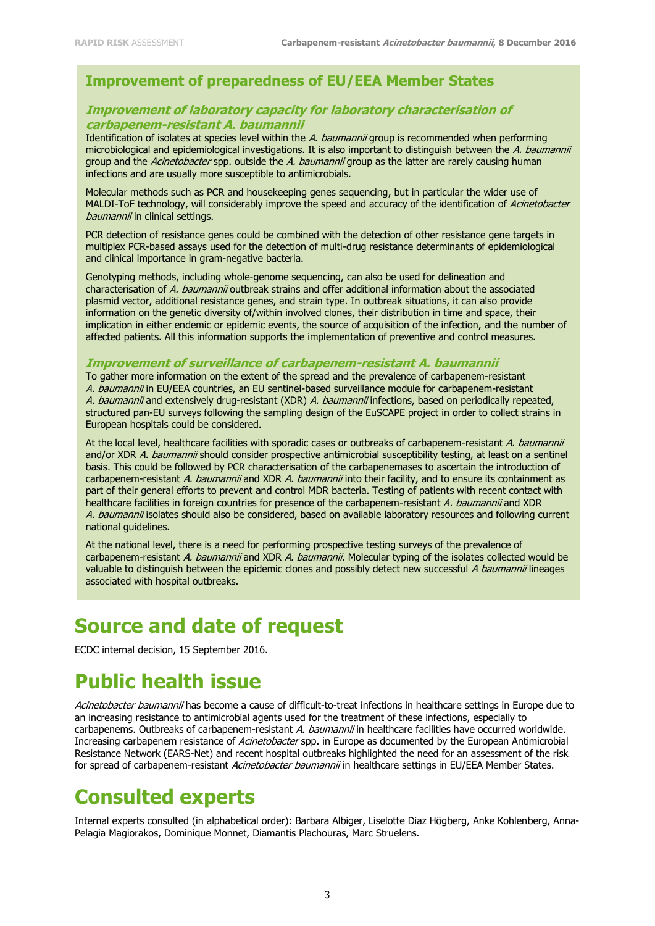#### **Improvement of preparedness of EU/EEA Member States**

#### **Improvement of laboratory capacity for laboratory characterisation of carbapenem-resistant A. baumannii**

Identification of isolates at species level within the A. baumannii group is recommended when performing microbiological and epidemiological investigations. It is also important to distinguish between the A. baumannii group and the Acinetobacter spp. outside the A. baumannii group as the latter are rarely causing human infections and are usually more susceptible to antimicrobials.

Molecular methods such as PCR and housekeeping genes sequencing, but in particular the wider use of MALDI-ToF technology, will considerably improve the speed and accuracy of the identification of Acinetobacter baumannii in clinical settings.

PCR detection of resistance genes could be combined with the detection of other resistance gene targets in multiplex PCR-based assays used for the detection of multi-drug resistance determinants of epidemiological and clinical importance in gram-negative bacteria.

Genotyping methods, including whole-genome sequencing, can also be used for delineation and characterisation of A. baumannii outbreak strains and offer additional information about the associated plasmid vector, additional resistance genes, and strain type. In outbreak situations, it can also provide information on the genetic diversity of/within involved clones, their distribution in time and space, their implication in either endemic or epidemic events, the source of acquisition of the infection, and the number of affected patients. All this information supports the implementation of preventive and control measures.

#### **Improvement of surveillance of carbapenem-resistant A. baumannii**

To gather more information on the extent of the spread and the prevalence of carbapenem-resistant A. baumannii in EU/EEA countries, an EU sentinel-based surveillance module for carbapenem-resistant A. baumannii and extensively drug-resistant (XDR) A. baumannii infections, based on periodically repeated, structured pan-EU surveys following the sampling design of the EuSCAPE project in order to collect strains in European hospitals could be considered.

At the local level, healthcare facilities with sporadic cases or outbreaks of carbapenem-resistant A. baumannii and/or XDR A. baumannii should consider prospective antimicrobial susceptibility testing, at least on a sentinel basis. This could be followed by PCR characterisation of the carbapenemases to ascertain the introduction of carbapenem-resistant A. baumannii and XDR A. baumannii into their facility, and to ensure its containment as part of their general efforts to prevent and control MDR bacteria. Testing of patients with recent contact with healthcare facilities in foreign countries for presence of the carbapenem-resistant A. baumannii and XDR A. baumannii isolates should also be considered, based on available laboratory resources and following current national guidelines.

At the national level, there is a need for performing prospective testing surveys of the prevalence of carbapenem-resistant A. baumannii and XDR A. baumannii. Molecular typing of the isolates collected would be valuable to distinguish between the epidemic clones and possibly detect new successful A baumannii lineages associated with hospital outbreaks.

## **Source and date of request**

ECDC internal decision, 15 September 2016.

# **Public health issue**

Acinetobacter baumannii has become a cause of difficult-to-treat infections in healthcare settings in Europe due to an increasing resistance to antimicrobial agents used for the treatment of these infections, especially to carbapenems. Outbreaks of carbapenem-resistant A. baumannii in healthcare facilities have occurred worldwide. Increasing carbapenem resistance of Acinetobacter spp. in Europe as documented by the European Antimicrobial Resistance Network (EARS-Net) and recent hospital outbreaks highlighted the need for an assessment of the risk for spread of carbapenem-resistant Acinetobacter baumannii in healthcare settings in EU/EEA Member States.

## **Consulted experts**

Internal experts consulted (in alphabetical order): Barbara Albiger, Liselotte Diaz Högberg, Anke Kohlenberg, Anna-Pelagia Magiorakos, Dominique Monnet, Diamantis Plachouras, Marc Struelens.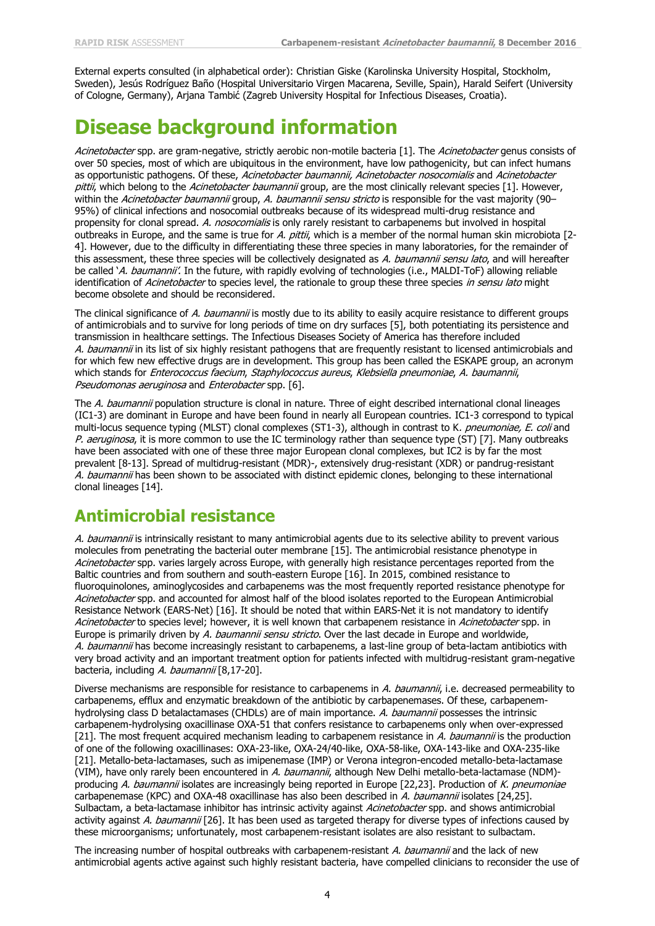External experts consulted (in alphabetical order): Christian Giske (Karolinska University Hospital, Stockholm, Sweden), Jesús Rodríguez Baño (Hospital Universitario Virgen Macarena, Seville, Spain), Harald Seifert (University of Cologne, Germany), Arjana Tambić (Zagreb University Hospital for Infectious Diseases, Croatia).

# **Disease background information**

Acinetobacter spp. are gram-negative, strictly aerobic non-motile bacteria [1]. The Acinetobacter genus consists of over 50 species, most of which are ubiquitous in the environment, have low pathogenicity, but can infect humans as opportunistic pathogens. Of these, Acinetobacter baumannii, Acinetobacter nosocomialis and Acinetobacter pittii, which belong to the Acinetobacter baumannii group, are the most clinically relevant species [1]. However, within the Acinetobacter baumannii group, A. baumannii sensu stricto is responsible for the vast majority (90-95%) of clinical infections and nosocomial outbreaks because of its widespread multi-drug resistance and propensity for clonal spread. A. nosocomialis is only rarely resistant to carbapenems but involved in hospital outbreaks in Europe, and the same is true for A. pittii, which is a member of the normal human skin microbiota [2-4]. However, due to the difficulty in differentiating these three species in many laboratories, for the remainder of this assessment, these three species will be collectively designated as A. baumannii sensu lato, and will hereafter be called 'A. baumannii'. In the future, with rapidly evolving of technologies (i.e., MALDI-ToF) allowing reliable identification of Acinetobacter to species level, the rationale to group these three species in sensu lato might become obsolete and should be reconsidered.

The clinical significance of A. baumannii is mostly due to its ability to easily acquire resistance to different groups of antimicrobials and to survive for long periods of time on dry surfaces [5], both potentiating its persistence and transmission in healthcare settings. The Infectious Diseases Society of America has therefore included A. baumannii in its list of six highly resistant pathogens that are frequently resistant to licensed antimicrobials and for which few new effective drugs are in development. This group has been called the ESKAPE group, an acronym which stands for Enterococcus faecium, Staphylococcus aureus, Klebsiella pneumoniae, A. baumannii, Pseudomonas aeruginosa and Enterobacter spp. [6].

The A. baumannii population structure is clonal in nature. Three of eight described international clonal lineages (IC1-3) are dominant in Europe and have been found in nearly all European countries. IC1-3 correspond to typical multi-locus sequence typing (MLST) clonal complexes (ST1-3), although in contrast to K. pneumoniae, E. coli and P. aeruginosa, it is more common to use the IC terminology rather than sequence type (ST) [7]. Many outbreaks have been associated with one of these three major European clonal complexes, but IC2 is by far the most prevalent [8-13]. Spread of multidrug-resistant (MDR)-, extensively drug-resistant (XDR) or pandrug-resistant A. baumannii has been shown to be associated with distinct epidemic clones, belonging to these international clonal lineages [14].

## **Antimicrobial resistance**

A. baumannii is intrinsically resistant to many antimicrobial agents due to its selective ability to prevent various molecules from penetrating the bacterial outer membrane [15]. The antimicrobial resistance phenotype in Acinetobacter spp. varies largely across Europe, with generally high resistance percentages reported from the Baltic countries and from southern and south-eastern Europe [16]. In 2015, combined resistance to fluoroquinolones, aminoglycosides and carbapenems was the most frequently reported resistance phenotype for Acinetobacter spp. and accounted for almost half of the blood isolates reported to the European Antimicrobial Resistance Network (EARS-Net) [16]. It should be noted that within EARS-Net it is not mandatory to identify Acinetobacter to species level; however, it is well known that carbapenem resistance in Acinetobacter spp. in Europe is primarily driven by A. baumannii sensu stricto. Over the last decade in Europe and worldwide, A. baumannii has become increasingly resistant to carbapenems, a last-line group of beta-lactam antibiotics with very broad activity and an important treatment option for patients infected with multidrug-resistant gram-negative bacteria, including A. baumannii [8,17-20].

Diverse mechanisms are responsible for resistance to carbapenems in A. baumannii, i.e. decreased permeability to carbapenems, efflux and enzymatic breakdown of the antibiotic by carbapenemases. Of these, carbapenemhydrolysing class D betalactamases (CHDLs) are of main importance. A. baumannii possesses the intrinsic carbapenem-hydrolysing oxacillinase OXA-51 that confers resistance to carbapenems only when over-expressed [21]. The most frequent acquired mechanism leading to carbapenem resistance in A. baumannii is the production of one of the following oxacillinases: OXA-23-like, OXA-24/40-like, OXA-58-like, OXA-143-like and OXA-235-like [21]. Metallo-beta-lactamases, such as imipenemase (IMP) or Verona integron-encoded metallo-beta-lactamase (VIM), have only rarely been encountered in A. baumannii, although New Delhi metallo-beta-lactamase (NDM)producing A. baumannii isolates are increasingly being reported in Europe [22,23]. Production of K. pneumoniae carbapenemase (KPC) and OXA-48 oxacillinase has also been described in A. baumannii isolates [24,25]. Sulbactam, a beta-lactamase inhibitor has intrinsic activity against Acinetobacter spp. and shows antimicrobial activity against A. baumannii [26]. It has been used as targeted therapy for diverse types of infections caused by these microorganisms; unfortunately, most carbapenem-resistant isolates are also resistant to sulbactam.

The increasing number of hospital outbreaks with carbapenem-resistant A. baumannii and the lack of new antimicrobial agents active against such highly resistant bacteria, have compelled clinicians to reconsider the use of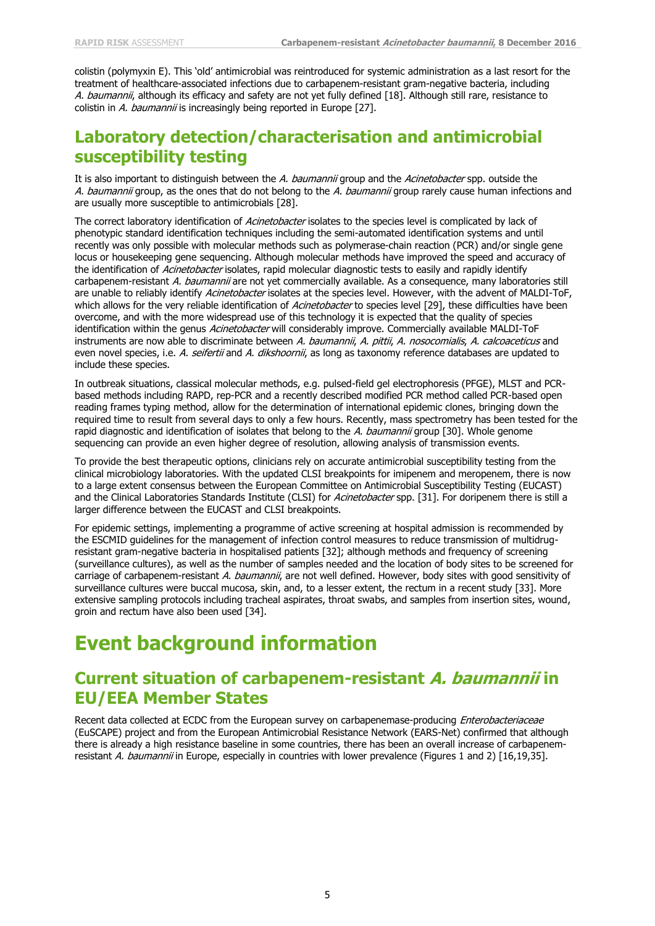colistin (polymyxin E). This 'old' antimicrobial was reintroduced for systemic administration as a last resort for the treatment of healthcare-associated infections due to carbapenem-resistant gram-negative bacteria, including A. baumannii, although its efficacy and safety are not yet fully defined [18]. Although still rare, resistance to colistin in A. baumannii is increasingly being reported in Europe [27].

### **Laboratory detection/characterisation and antimicrobial susceptibility testing**

It is also important to distinguish between the A. baumannii group and the Acinetobacter spp. outside the A. baumannii group, as the ones that do not belong to the A. baumannii group rarely cause human infections and are usually more susceptible to antimicrobials [28].

The correct laboratory identification of Acinetobacter isolates to the species level is complicated by lack of phenotypic standard identification techniques including the semi-automated identification systems and until recently was only possible with molecular methods such as polymerase-chain reaction (PCR) and/or single gene locus or housekeeping gene sequencing. Although molecular methods have improved the speed and accuracy of the identification of Acinetobacter isolates, rapid molecular diagnostic tests to easily and rapidly identify carbapenem-resistant A. baumannii are not yet commercially available. As a consequence, many laboratories still are unable to reliably identify Acinetobacter isolates at the species level. However, with the advent of MALDI-ToF, which allows for the very reliable identification of Acinetobacter to species level [29], these difficulties have been overcome, and with the more widespread use of this technology it is expected that the quality of species identification within the genus Acinetobacter will considerably improve. Commercially available MALDI-ToF instruments are now able to discriminate between A. baumannii, A. pittii, A. nosocomialis, A. calcoaceticus and even novel species, i.e. A. seifertii and A. dikshoornii, as long as taxonomy reference databases are updated to include these species.

In outbreak situations, classical molecular methods, e.g. pulsed-field gel electrophoresis (PFGE), MLST and PCRbased methods including RAPD, rep-PCR and a recently described modified PCR method called PCR-based open reading frames typing method, allow for the determination of international epidemic clones, bringing down the required time to result from several days to only a few hours. Recently, mass spectrometry has been tested for the rapid diagnostic and identification of isolates that belong to the A. baumannii group [30]. Whole genome sequencing can provide an even higher degree of resolution, allowing analysis of transmission events.

To provide the best therapeutic options, clinicians rely on accurate antimicrobial susceptibility testing from the clinical microbiology laboratories. With the updated CLSI breakpoints for imipenem and meropenem, there is now to a large extent consensus between the European Committee on Antimicrobial Susceptibility Testing (EUCAST) and the Clinical Laboratories Standards Institute (CLSI) for Acinetobacter spp. [31]. For doripenem there is still a larger difference between the EUCAST and CLSI breakpoints.

For epidemic settings, implementing a programme of active screening at hospital admission is recommended by the ESCMID guidelines for the management of infection control measures to reduce transmission of multidrugresistant gram-negative bacteria in hospitalised patients [32]; although methods and frequency of screening (surveillance cultures), as well as the number of samples needed and the location of body sites to be screened for carriage of carbapenem-resistant A. baumannii, are not well defined. However, body sites with good sensitivity of surveillance cultures were buccal mucosa, skin, and, to a lesser extent, the rectum in a recent study [33]. More extensive sampling protocols including tracheal aspirates, throat swabs, and samples from insertion sites, wound, groin and rectum have also been used [34].

# **Event background information**

### **Current situation of carbapenem-resistant A. baumannii in EU/EEA Member States**

Recent data collected at ECDC from the European survey on carbapenemase-producing Enterobacteriaceae (EuSCAPE) project and from the European Antimicrobial Resistance Network (EARS-Net) confirmed that although there is already a high resistance baseline in some countries, there has been an overall increase of carbapenemresistant A. baumannii in Europe, especially in countries with lower prevalence (Figures 1 and 2) [16,19,35].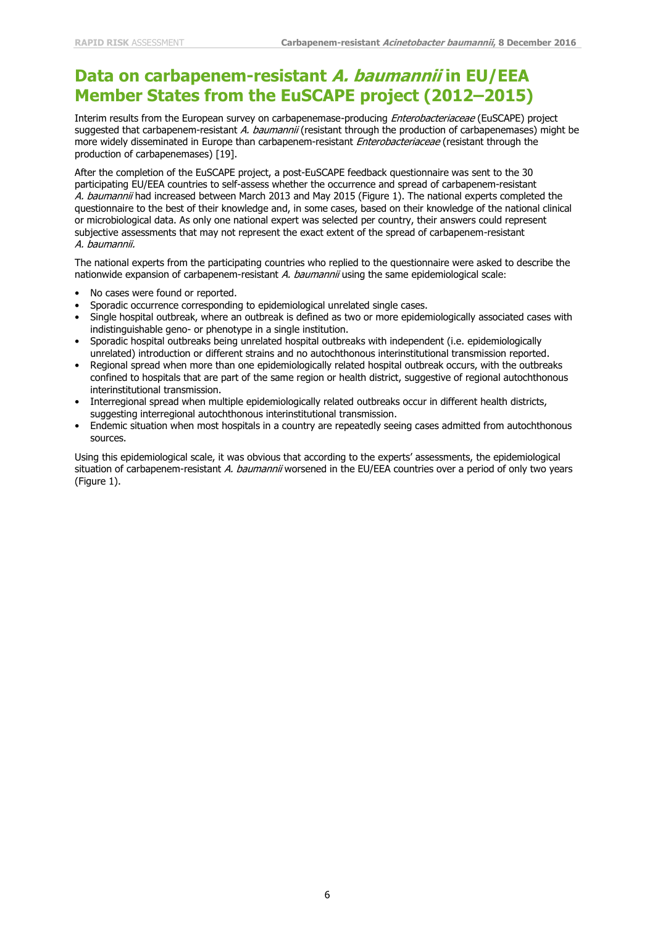### **Data on carbapenem-resistant A. baumannii in EU/EEA Member States from the EuSCAPE project (2012–2015)**

Interim results from the European survey on carbapenemase-producing Enterobacteriaceae (EuSCAPE) project suggested that carbapenem-resistant A. baumannii (resistant through the production of carbapenemases) might be more widely disseminated in Europe than carbapenem-resistant *Enterobacteriaceae* (resistant through the production of carbapenemases) [19].

After the completion of the EuSCAPE project, a post-EuSCAPE feedback questionnaire was sent to the 30 participating EU/EEA countries to self-assess whether the occurrence and spread of carbapenem-resistant A. baumannii had increased between March 2013 and May 2015 (Figure 1). The national experts completed the questionnaire to the best of their knowledge and, in some cases, based on their knowledge of the national clinical or microbiological data. As only one national expert was selected per country, their answers could represent subjective assessments that may not represent the exact extent of the spread of carbapenem-resistant A. baumannii.

The national experts from the participating countries who replied to the questionnaire were asked to describe the nationwide expansion of carbapenem-resistant  $A.$  baumannii using the same epidemiological scale:

- No cases were found or reported.
- Sporadic occurrence corresponding to epidemiological unrelated single cases.
- Single hospital outbreak, where an outbreak is defined as two or more epidemiologically associated cases with indistinguishable geno- or phenotype in a single institution.
- Sporadic hospital outbreaks being unrelated hospital outbreaks with independent (i.e. epidemiologically unrelated) introduction or different strains and no autochthonous interinstitutional transmission reported.
- Regional spread when more than one epidemiologically related hospital outbreak occurs, with the outbreaks confined to hospitals that are part of the same region or health district, suggestive of regional autochthonous interinstitutional transmission.
- Interregional spread when multiple epidemiologically related outbreaks occur in different health districts, suggesting interregional autochthonous interinstitutional transmission.
- Endemic situation when most hospitals in a country are repeatedly seeing cases admitted from autochthonous sources.

Using this epidemiological scale, it was obvious that according to the experts' assessments, the epidemiological situation of carbapenem-resistant A. baumannii worsened in the EU/EEA countries over a period of only two years (Figure 1).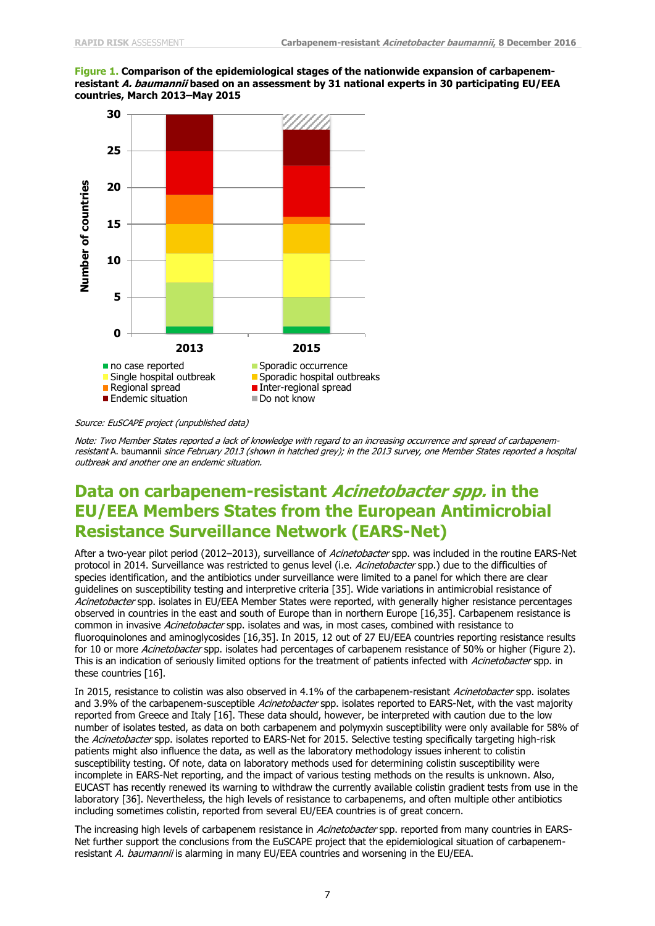#### **Figure 1. Comparison of the epidemiological stages of the nationwide expansion of carbapenemresistant A. baumannii based on an assessment by 31 national experts in 30 participating EU/EEA countries, March 2013–May 2015**



#### Source: EuSCAPE project (unpublished data)

Note: Two Member States reported <sup>a</sup> lack of knowledge with regard to an increasing occurrence and spread of carbapenemresistant A. baumannii since February 2013 (shown in hatched grey); in the 2013 survey, one Member States reported a hospital outbreak and another one an endemic situation.

### **Data on carbapenem-resistant Acinetobacter spp. in the EU/EEA Members States from the European Antimicrobial Resistance Surveillance Network (EARS-Net)**

After a two-year pilot period (2012–2013), surveillance of Acinetobacter spp. was included in the routine EARS-Net protocol in 2014. Surveillance was restricted to genus level (i.e. Acinetobacter spp.) due to the difficulties of species identification, and the antibiotics under surveillance were limited to a panel for which there are clear guidelines on susceptibility testing and interpretive criteria [35]. Wide variations in antimicrobial resistance of Acinetobacter spp. isolates in EU/EEA Member States were reported, with generally higher resistance percentages observed in countries in the east and south of Europe than in northern Europe [16,35]. Carbapenem resistance is common in invasive Acinetobacter spp. isolates and was, in most cases, combined with resistance to fluoroquinolones and aminoglycosides [16,35]. In 2015, 12 out of 27 EU/EEA countries reporting resistance results for 10 or more Acinetobacter spp. isolates had percentages of carbapenem resistance of 50% or higher (Figure 2). This is an indication of seriously limited options for the treatment of patients infected with Acinetobacter spp. in these countries [16].

In 2015, resistance to colistin was also observed in 4.1% of the carbapenem-resistant Acinetobacter spp. isolates and 3.9% of the carbapenem-susceptible Acinetobacter spp. isolates reported to EARS-Net, with the vast majority reported from Greece and Italy [16]. These data should, however, be interpreted with caution due to the low number of isolates tested, as data on both carbapenem and polymyxin susceptibility were only available for 58% of the Acinetobacter spp. isolates reported to EARS-Net for 2015. Selective testing specifically targeting high-risk patients might also influence the data, as well as the laboratory methodology issues inherent to colistin susceptibility testing. Of note, data on laboratory methods used for determining colistin susceptibility were incomplete in EARS-Net reporting, and the impact of various testing methods on the results is unknown. Also, EUCAST has recently renewed its warning to withdraw the currently available colistin gradient tests from use in the laboratory [36]. Nevertheless, the high levels of resistance to carbapenems, and often multiple other antibiotics including sometimes colistin, reported from several EU/EEA countries is of great concern.

The increasing high levels of carbapenem resistance in *Acinetobacter* spp. reported from many countries in EARS-Net further support the conclusions from the EuSCAPE project that the epidemiological situation of carbapenemresistant A. baumannii is alarming in many EU/EEA countries and worsening in the EU/EEA.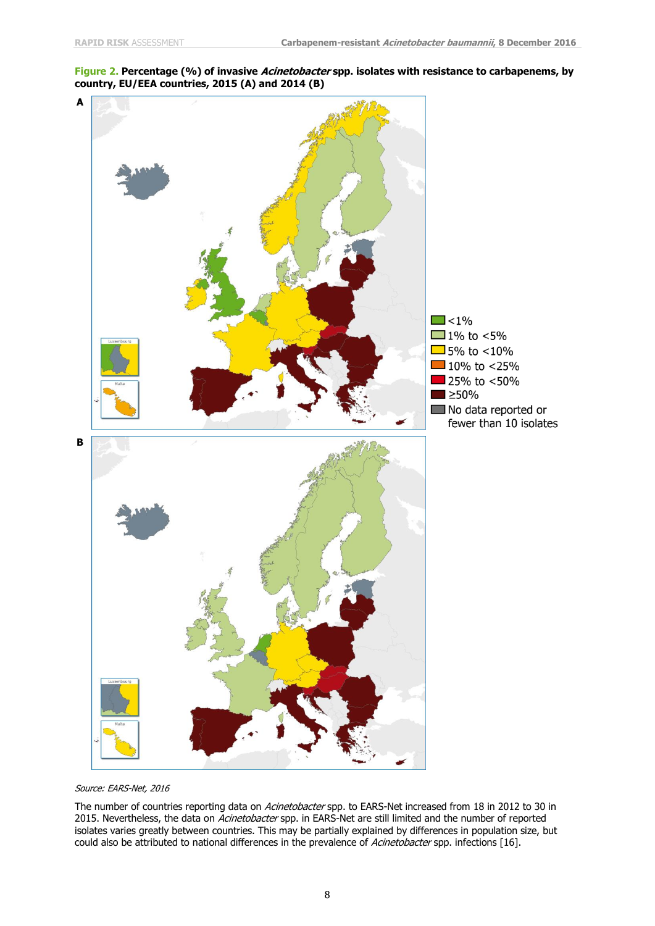**Figure 2. Percentage (%) of invasive Acinetobacter spp. isolates with resistance to carbapenems, by country, EU/EEA countries, 2015 (A) and 2014 (B)**



Source: EARS-Net, 2016

The number of countries reporting data on Acinetobacter spp. to EARS-Net increased from 18 in 2012 to 30 in 2015. Nevertheless, the data on Acinetobacter spp. in EARS-Net are still limited and the number of reported isolates varies greatly between countries. This may be partially explained by differences in population size, but could also be attributed to national differences in the prevalence of Acinetobacter spp. infections [16].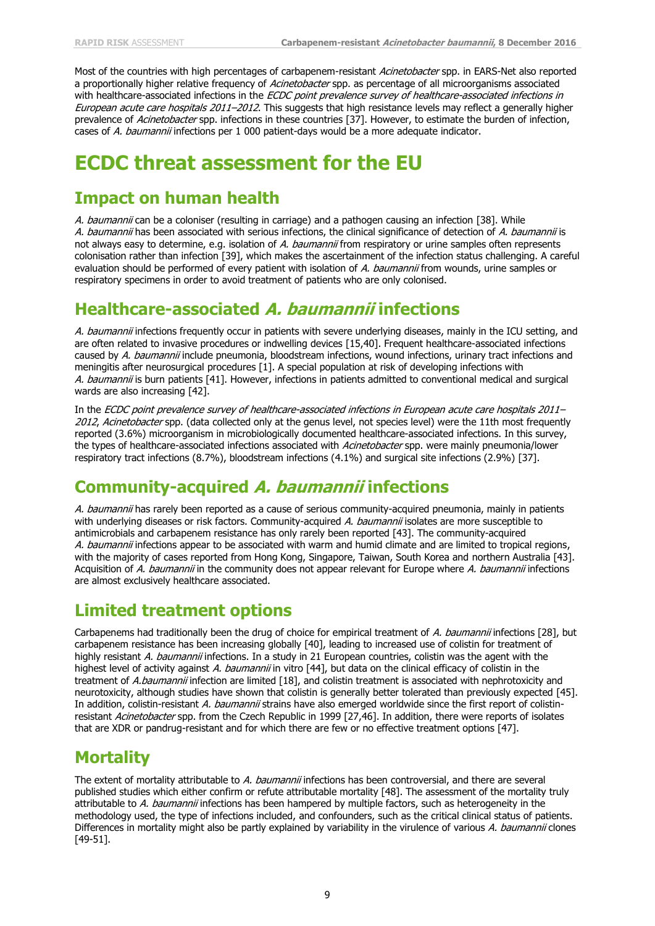Most of the countries with high percentages of carbapenem-resistant Acinetobacter spp. in EARS-Net also reported a proportionally higher relative frequency of Acinetobacter spp. as percentage of all microorganisms associated with healthcare-associated infections in the ECDC point prevalence survey of healthcare-associated infections in European acute care hospitals 2011–2012. This suggests that high resistance levels may reflect a generally higher prevalence of Acinetobacter spp. infections in these countries [37]. However, to estimate the burden of infection, cases of A. baumannii infections per 1 000 patient-days would be a more adequate indicator.

# **ECDC threat assessment for the EU**

### **Impact on human health**

A. baumannii can be a coloniser (resulting in carriage) and a pathogen causing an infection [38]. While A. baumannii has been associated with serious infections, the clinical significance of detection of A. baumannii is not always easy to determine, e.g. isolation of A. baumannii from respiratory or urine samples often represents colonisation rather than infection [39], which makes the ascertainment of the infection status challenging. A careful evaluation should be performed of every patient with isolation of A. baumannii from wounds, urine samples or respiratory specimens in order to avoid treatment of patients who are only colonised.

### **Healthcare-associated A. baumannii infections**

A. baumannii infections frequently occur in patients with severe underlying diseases, mainly in the ICU setting, and are often related to invasive procedures or indwelling devices [15,40]. Frequent healthcare-associated infections caused by A. baumannii include pneumonia, bloodstream infections, wound infections, urinary tract infections and meningitis after neurosurgical procedures [1]. A special population at risk of developing infections with A. baumannii is burn patients [41]. However, infections in patients admitted to conventional medical and surgical wards are also increasing [42].

In the ECDC point prevalence survey of healthcare-associated infections in European acute care hospitals 2011– 2012, Acinetobacter spp. (data collected only at the genus level, not species level) were the 11th most frequently reported (3.6%) microorganism in microbiologically documented healthcare-associated infections. In this survey, the types of healthcare-associated infections associated with Acinetobacter spp. were mainly pneumonia/lower respiratory tract infections (8.7%), bloodstream infections (4.1%) and surgical site infections (2.9%) [37].

## **Community-acquired A. baumannii infections**

A. baumannii has rarely been reported as a cause of serious community-acquired pneumonia, mainly in patients with underlying diseases or risk factors. Community-acquired A. baumannii isolates are more susceptible to antimicrobials and carbapenem resistance has only rarely been reported [43]. The community-acquired A. baumannii infections appear to be associated with warm and humid climate and are limited to tropical regions, with the majority of cases reported from Hong Kong, Singapore, Taiwan, South Korea and northern Australia [43]. Acquisition of A. baumannii in the community does not appear relevant for Europe where A. baumannii infections are almost exclusively healthcare associated.

## **Limited treatment options**

Carbapenems had traditionally been the drug of choice for empirical treatment of A. baumannii infections [28], but carbapenem resistance has been increasing globally [40], leading to increased use of colistin for treatment of highly resistant A. baumannii infections. In a study in 21 European countries, colistin was the agent with the highest level of activity against A. baumannii in vitro [44], but data on the clinical efficacy of colistin in the treatment of A.baumannii infection are limited [18], and colistin treatment is associated with nephrotoxicity and neurotoxicity, although studies have shown that colistin is generally better tolerated than previously expected [45]. In addition, colistin-resistant A. baumannii strains have also emerged worldwide since the first report of colistinresistant Acinetobacter spp. from the Czech Republic in 1999 [27,46]. In addition, there were reports of isolates that are XDR or pandrug-resistant and for which there are few or no effective treatment options [47].

## **Mortality**

The extent of mortality attributable to A. baumannii infections has been controversial, and there are several published studies which either confirm or refute attributable mortality [48]. The assessment of the mortality truly attributable to A. baumannii infections has been hampered by multiple factors, such as heterogeneity in the methodology used, the type of infections included, and confounders, such as the critical clinical status of patients. Differences in mortality might also be partly explained by variability in the virulence of various A. baumannii clones [49-51].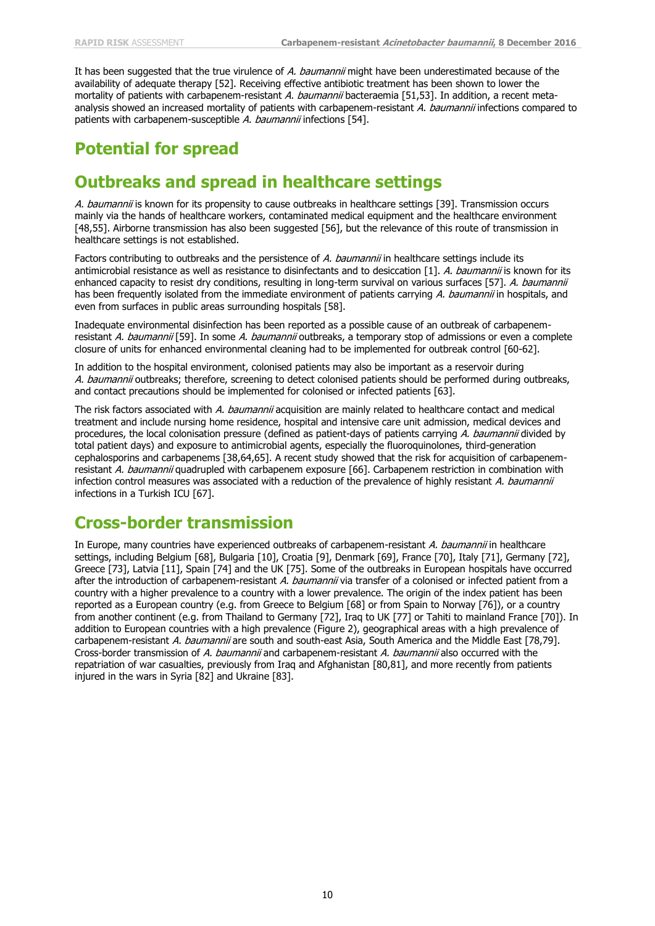It has been suggested that the true virulence of A. baumannii might have been underestimated because of the availability of adequate therapy [52]. Receiving effective antibiotic treatment has been shown to lower the mortality of patients with carbapenem-resistant A. baumannii bacteraemia [51,53]. In addition, a recent metaanalysis showed an increased mortality of patients with carbapenem-resistant A. baumannii infections compared to patients with carbapenem-susceptible A. baumannii infections [54].

## **Potential for spread**

### **Outbreaks and spread in healthcare settings**

A. baumannii is known for its propensity to cause outbreaks in healthcare settings [39]. Transmission occurs mainly via the hands of healthcare workers, contaminated medical equipment and the healthcare environment [48,55]. Airborne transmission has also been suggested [56], but the relevance of this route of transmission in healthcare settings is not established.

Factors contributing to outbreaks and the persistence of A. baumannii in healthcare settings include its antimicrobial resistance as well as resistance to disinfectants and to desiccation [1]. A. baumannii is known for its enhanced capacity to resist dry conditions, resulting in long-term survival on various surfaces [57]. A. baumannii has been frequently isolated from the immediate environment of patients carrying A. baumannii in hospitals, and even from surfaces in public areas surrounding hospitals [58].

Inadequate environmental disinfection has been reported as a possible cause of an outbreak of carbapenemresistant A. baumannii [59]. In some A. baumannii outbreaks, a temporary stop of admissions or even a complete closure of units for enhanced environmental cleaning had to be implemented for outbreak control [60-62].

In addition to the hospital environment, colonised patients may also be important as a reservoir during A. baumannii outbreaks; therefore, screening to detect colonised patients should be performed during outbreaks, and contact precautions should be implemented for colonised or infected patients [63].

The risk factors associated with A. baumannii acquisition are mainly related to healthcare contact and medical treatment and include nursing home residence, hospital and intensive care unit admission, medical devices and procedures, the local colonisation pressure (defined as patient-days of patients carrying A. baumannii divided by total patient days) and exposure to antimicrobial agents, especially the fluoroquinolones, third-generation cephalosporins and carbapenems [38,64,65]. A recent study showed that the risk for acquisition of carbapenemresistant A. baumannii quadrupled with carbapenem exposure [66]. Carbapenem restriction in combination with infection control measures was associated with a reduction of the prevalence of highly resistant A. baumannii infections in a Turkish ICU [67].

### **Cross-border transmission**

In Europe, many countries have experienced outbreaks of carbapenem-resistant A. baumannii in healthcare settings, including Belgium [68], Bulgaria [10], Croatia [9], Denmark [69], France [70], Italy [71], Germany [72], Greece [73], Latvia [11], Spain [74] and the UK [75]. Some of the outbreaks in European hospitals have occurred after the introduction of carbapenem-resistant A. baumannii via transfer of a colonised or infected patient from a country with a higher prevalence to a country with a lower prevalence. The origin of the index patient has been reported as a European country (e.g. from Greece to Belgium [68] or from Spain to Norway [76]), or a country from another continent (e.g. from Thailand to Germany [72], Iraq to UK [77] or Tahiti to mainland France [70]). In addition to European countries with a high prevalence (Figure 2), geographical areas with a high prevalence of carbapenem-resistant A. baumannii are south and south-east Asia, South America and the Middle East [78,79]. Cross-border transmission of A. baumannii and carbapenem-resistant A. baumannii also occurred with the repatriation of war casualties, previously from Iraq and Afghanistan [80,81], and more recently from patients injured in the wars in Syria [82] and Ukraine [83].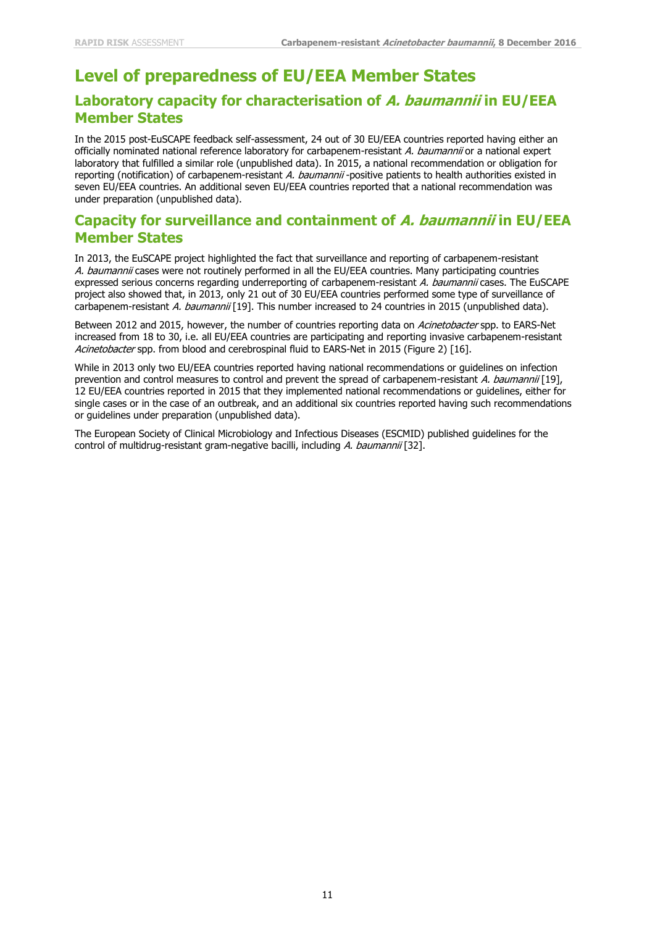## **Level of preparedness of EU/EEA Member States**

#### **Laboratory capacity for characterisation of A. baumannii in EU/EEA Member States**

In the 2015 post-EuSCAPE feedback self-assessment, 24 out of 30 EU/EEA countries reported having either an officially nominated national reference laboratory for carbapenem-resistant A. baumannii or a national expert laboratory that fulfilled a similar role (unpublished data). In 2015, a national recommendation or obligation for reporting (notification) of carbapenem-resistant A. baumannii -positive patients to health authorities existed in seven EU/EEA countries. An additional seven EU/EEA countries reported that a national recommendation was under preparation (unpublished data).

#### **Capacity for surveillance and containment of A. baumannii in EU/EEA Member States**

In 2013, the EuSCAPE project highlighted the fact that surveillance and reporting of carbapenem-resistant A. baumannii cases were not routinely performed in all the EU/EEA countries. Many participating countries expressed serious concerns regarding underreporting of carbapenem-resistant A. baumannii cases. The EuSCAPE project also showed that, in 2013, only 21 out of 30 EU/EEA countries performed some type of surveillance of carbapenem-resistant A. baumannii [19]. This number increased to 24 countries in 2015 (unpublished data).

Between 2012 and 2015, however, the number of countries reporting data on Acinetobacter spp. to EARS-Net increased from 18 to 30, i.e. all EU/EEA countries are participating and reporting invasive carbapenem-resistant Acinetobacter spp. from blood and cerebrospinal fluid to EARS-Net in 2015 (Figure 2) [16].

While in 2013 only two EU/EEA countries reported having national recommendations or guidelines on infection prevention and control measures to control and prevent the spread of carbapenem-resistant A. baumannii [19], 12 EU/EEA countries reported in 2015 that they implemented national recommendations or guidelines, either for single cases or in the case of an outbreak, and an additional six countries reported having such recommendations or guidelines under preparation (unpublished data).

The European Society of Clinical Microbiology and Infectious Diseases (ESCMID) published guidelines for the control of multidrug-resistant gram-negative bacilli, including A. baumannii [32].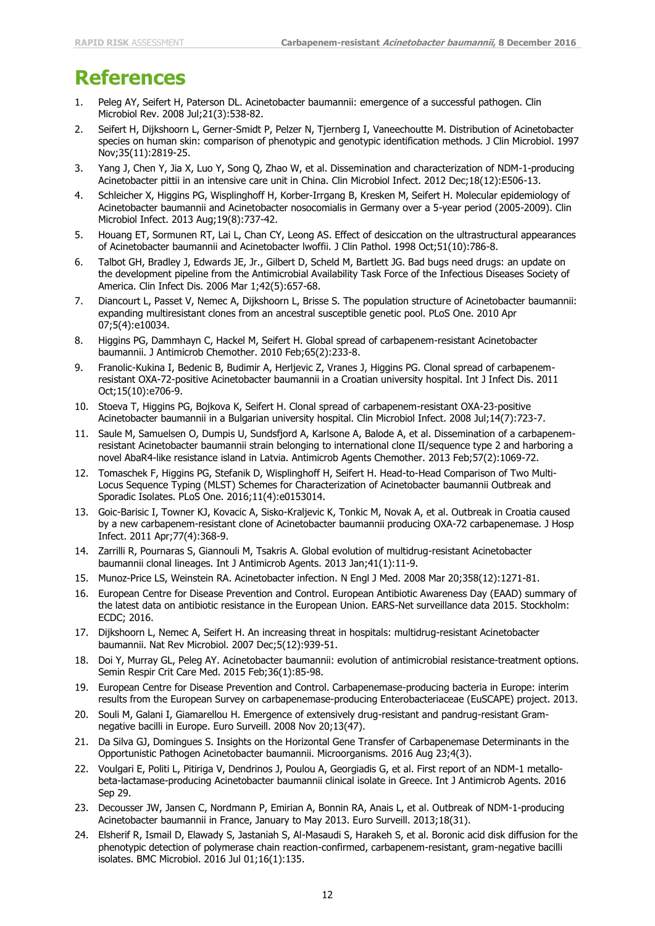# **References**

- Peleg AY, Seifert H, Paterson DL. Acinetobacter baumannii: emergence of a successful pathogen. Clin Microbiol Rev. 2008 Jul;21(3):538-82.
- 2. Seifert H, Dijkshoorn L, Gerner-Smidt P, Pelzer N, Tjernberg I, Vaneechoutte M. Distribution of Acinetobacter species on human skin: comparison of phenotypic and genotypic identification methods. J Clin Microbiol. 1997 Nov;35(11):2819-25.
- 3. Yang J, Chen Y, Jia X, Luo Y, Song Q, Zhao W, et al. Dissemination and characterization of NDM-1-producing Acinetobacter pittii in an intensive care unit in China. Clin Microbiol Infect. 2012 Dec;18(12):E506-13.
- 4. Schleicher X, Higgins PG, Wisplinghoff H, Korber-Irrgang B, Kresken M, Seifert H. Molecular epidemiology of Acinetobacter baumannii and Acinetobacter nosocomialis in Germany over a 5-year period (2005-2009). Clin Microbiol Infect. 2013 Aug;19(8):737-42.
- 5. Houang ET, Sormunen RT, Lai L, Chan CY, Leong AS. Effect of desiccation on the ultrastructural appearances of Acinetobacter baumannii and Acinetobacter lwoffii. J Clin Pathol. 1998 Oct;51(10):786-8.
- 6. Talbot GH, Bradley J, Edwards JE, Jr., Gilbert D, Scheld M, Bartlett JG. Bad bugs need drugs: an update on the development pipeline from the Antimicrobial Availability Task Force of the Infectious Diseases Society of America. Clin Infect Dis. 2006 Mar 1;42(5):657-68.
- 7. Diancourt L, Passet V, Nemec A, Dijkshoorn L, Brisse S. The population structure of Acinetobacter baumannii: expanding multiresistant clones from an ancestral susceptible genetic pool. PLoS One. 2010 Apr 07;5(4):e10034.
- 8. Higgins PG, Dammhayn C, Hackel M, Seifert H. Global spread of carbapenem-resistant Acinetobacter baumannii. J Antimicrob Chemother. 2010 Feb;65(2):233-8.
- 9. Franolic-Kukina I, Bedenic B, Budimir A, Herljevic Z, Vranes J, Higgins PG. Clonal spread of carbapenemresistant OXA-72-positive Acinetobacter baumannii in a Croatian university hospital. Int J Infect Dis. 2011 Oct;15(10):e706-9.
- 10. Stoeva T, Higgins PG, Bojkova K, Seifert H. Clonal spread of carbapenem-resistant OXA-23-positive Acinetobacter baumannii in a Bulgarian university hospital. Clin Microbiol Infect. 2008 Jul;14(7):723-7.
- 11. Saule M, Samuelsen O, Dumpis U, Sundsfjord A, Karlsone A, Balode A, et al. Dissemination of a carbapenemresistant Acinetobacter baumannii strain belonging to international clone II/sequence type 2 and harboring a novel AbaR4-like resistance island in Latvia. Antimicrob Agents Chemother. 2013 Feb;57(2):1069-72.
- 12. Tomaschek F, Higgins PG, Stefanik D, Wisplinghoff H, Seifert H. Head-to-Head Comparison of Two Multi-Locus Sequence Typing (MLST) Schemes for Characterization of Acinetobacter baumannii Outbreak and Sporadic Isolates. PLoS One. 2016;11(4):e0153014.
- 13. Goic-Barisic I, Towner KJ, Kovacic A, Sisko-Kraljevic K, Tonkic M, Novak A, et al. Outbreak in Croatia caused by a new carbapenem-resistant clone of Acinetobacter baumannii producing OXA-72 carbapenemase. J Hosp Infect. 2011 Apr;77(4):368-9.
- 14. Zarrilli R, Pournaras S, Giannouli M, Tsakris A. Global evolution of multidrug-resistant Acinetobacter baumannii clonal lineages. Int J Antimicrob Agents. 2013 Jan;41(1):11-9.
- 15. Munoz-Price LS, Weinstein RA. Acinetobacter infection. N Engl J Med. 2008 Mar 20;358(12):1271-81.
- 16. European Centre for Disease Prevention and Control. European Antibiotic Awareness Day (EAAD) summary of the latest data on antibiotic resistance in the European Union. EARS-Net surveillance data 2015. Stockholm: ECDC; 2016.
- 17. Dijkshoorn L, Nemec A, Seifert H. An increasing threat in hospitals: multidrug-resistant Acinetobacter baumannii. Nat Rev Microbiol. 2007 Dec;5(12):939-51.
- 18. Doi Y, Murray GL, Peleg AY. Acinetobacter baumannii: evolution of antimicrobial resistance-treatment options. Semin Respir Crit Care Med. 2015 Feb;36(1):85-98.
- 19. European Centre for Disease Prevention and Control. Carbapenemase-producing bacteria in Europe: interim results from the European Survey on carbapenemase-producing Enterobacteriaceae (EuSCAPE) project. 2013.
- 20. Souli M, Galani I, Giamarellou H. Emergence of extensively drug-resistant and pandrug-resistant Gramnegative bacilli in Europe. Euro Surveill. 2008 Nov 20;13(47).
- 21. Da Silva GJ, Domingues S. Insights on the Horizontal Gene Transfer of Carbapenemase Determinants in the Opportunistic Pathogen Acinetobacter baumannii. Microorganisms. 2016 Aug 23;4(3).
- 22. Voulgari E, Politi L, Pitiriga V, Dendrinos J, Poulou A, Georgiadis G, et al. First report of an NDM-1 metallobeta-lactamase-producing Acinetobacter baumannii clinical isolate in Greece. Int J Antimicrob Agents. 2016 Sep 29.
- 23. Decousser JW, Jansen C, Nordmann P, Emirian A, Bonnin RA, Anais L, et al. Outbreak of NDM-1-producing Acinetobacter baumannii in France, January to May 2013. Euro Surveill. 2013;18(31).
- 24. Elsherif R, Ismail D, Elawady S, Jastaniah S, Al-Masaudi S, Harakeh S, et al. Boronic acid disk diffusion for the phenotypic detection of polymerase chain reaction-confirmed, carbapenem-resistant, gram-negative bacilli isolates. BMC Microbiol. 2016 Jul 01;16(1):135.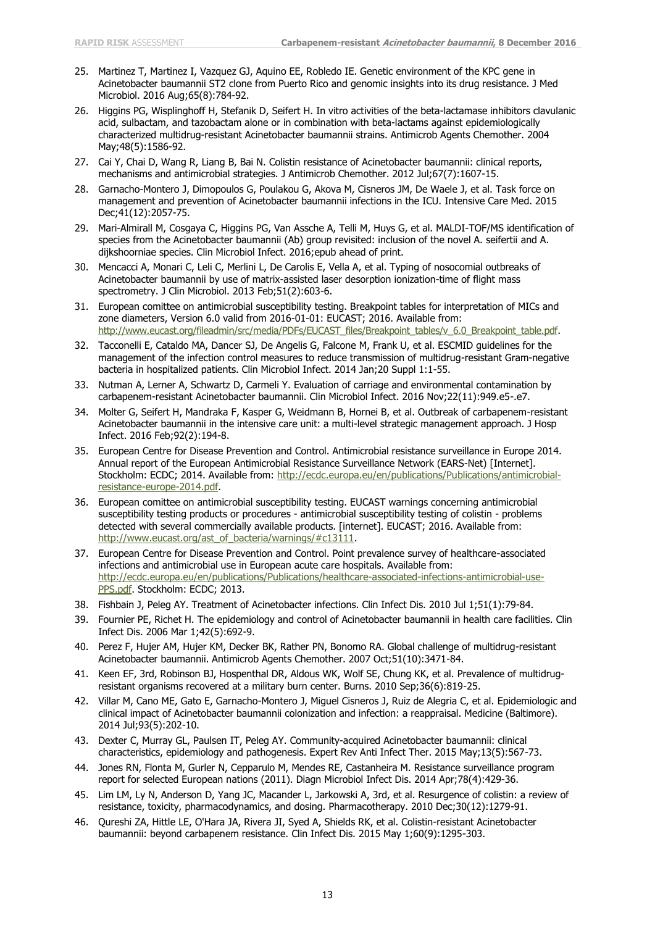- 25. Martinez T, Martinez I, Vazquez GJ, Aquino EE, Robledo IE. Genetic environment of the KPC gene in Acinetobacter baumannii ST2 clone from Puerto Rico and genomic insights into its drug resistance. J Med Microbiol. 2016 Aug;65(8):784-92.
- 26. Higgins PG, Wisplinghoff H, Stefanik D, Seifert H. In vitro activities of the beta-lactamase inhibitors clavulanic acid, sulbactam, and tazobactam alone or in combination with beta-lactams against epidemiologically characterized multidrug-resistant Acinetobacter baumannii strains. Antimicrob Agents Chemother. 2004 May;48(5):1586-92.
- 27. Cai Y, Chai D, Wang R, Liang B, Bai N. Colistin resistance of Acinetobacter baumannii: clinical reports, mechanisms and antimicrobial strategies. J Antimicrob Chemother. 2012 Jul;67(7):1607-15.
- 28. Garnacho-Montero J, Dimopoulos G, Poulakou G, Akova M, Cisneros JM, De Waele J, et al. Task force on management and prevention of Acinetobacter baumannii infections in the ICU. Intensive Care Med. 2015 Dec;41(12):2057-75.
- 29. Mari-Almirall M, Cosgaya C, Higgins PG, Van Assche A, Telli M, Huys G, et al. MALDI-TOF/MS identification of species from the Acinetobacter baumannii (Ab) group revisited: inclusion of the novel A. seifertii and A. dijkshoorniae species. Clin Microbiol Infect. 2016;epub ahead of print.
- 30. Mencacci A, Monari C, Leli C, Merlini L, De Carolis E, Vella A, et al. Typing of nosocomial outbreaks of Acinetobacter baumannii by use of matrix-assisted laser desorption ionization-time of flight mass spectrometry. J Clin Microbiol. 2013 Feb;51(2):603-6.
- 31. European comittee on antimicrobial susceptibility testing. Breakpoint tables for interpretation of MICs and zone diameters, Version 6.0 valid from 2016-01-01: EUCAST; 2016. Available from: [http://www.eucast.org/fileadmin/src/media/PDFs/EUCAST\\_files/Breakpoint\\_tables/v\\_6.0\\_Breakpoint\\_table.pdf.](http://www.eucast.org/fileadmin/src/media/PDFs/EUCAST_files/Breakpoint_tables/v_6.0_Breakpoint_table.pdf)
- 32. Tacconelli E, Cataldo MA, Dancer SJ, De Angelis G, Falcone M, Frank U, et al. ESCMID guidelines for the management of the infection control measures to reduce transmission of multidrug-resistant Gram-negative bacteria in hospitalized patients. Clin Microbiol Infect. 2014 Jan;20 Suppl 1:1-55.
- 33. Nutman A, Lerner A, Schwartz D, Carmeli Y. Evaluation of carriage and environmental contamination by carbapenem-resistant Acinetobacter baumannii. Clin Microbiol Infect. 2016 Nov;22(11):949.e5-.e7.
- 34. Molter G, Seifert H, Mandraka F, Kasper G, Weidmann B, Hornei B, et al. Outbreak of carbapenem-resistant Acinetobacter baumannii in the intensive care unit: a multi-level strategic management approach. J Hosp Infect. 2016 Feb;92(2):194-8.
- 35. European Centre for Disease Prevention and Control. Antimicrobial resistance surveillance in Europe 2014. Annual report of the European Antimicrobial Resistance Surveillance Network (EARS-Net) [Internet]. Stockholm: ECDC; 2014. Available from: [http://ecdc.europa.eu/en/publications/Publications/antimicrobial](http://ecdc.europa.eu/en/publications/Publications/antimicrobial-resistance-europe-2014.pdf)[resistance-europe-2014.pdf.](http://ecdc.europa.eu/en/publications/Publications/antimicrobial-resistance-europe-2014.pdf)
- 36. European comittee on antimicrobial susceptibility testing. EUCAST warnings concerning antimicrobial susceptibility testing products or procedures - antimicrobial susceptibility testing of colistin - problems detected with several commercially available products. [internet]. EUCAST; 2016. Available from: [http://www.eucast.org/ast\\_of\\_bacteria/warnings/#c13111.](http://www.eucast.org/ast_of_bacteria/warnings/#c13111)
- 37. European Centre for Disease Prevention and Control. Point prevalence survey of healthcare-associated infections and antimicrobial use in European acute care hospitals. Available from: [http://ecdc.europa.eu/en/publications/Publications/healthcare-associated-infections-antimicrobial-use-](http://ecdc.europa.eu/en/publications/Publications/healthcare-associated-infections-antimicrobial-use-PPS.pdf)[PPS.pdf.](http://ecdc.europa.eu/en/publications/Publications/healthcare-associated-infections-antimicrobial-use-PPS.pdf) Stockholm: ECDC; 2013.
- 38. Fishbain J, Peleg AY. Treatment of Acinetobacter infections. Clin Infect Dis. 2010 Jul 1;51(1):79-84.
- 39. Fournier PE, Richet H. The epidemiology and control of Acinetobacter baumannii in health care facilities. Clin Infect Dis. 2006 Mar 1;42(5):692-9.
- 40. Perez F, Hujer AM, Hujer KM, Decker BK, Rather PN, Bonomo RA. Global challenge of multidrug-resistant Acinetobacter baumannii. Antimicrob Agents Chemother. 2007 Oct;51(10):3471-84.
- 41. Keen EF, 3rd, Robinson BJ, Hospenthal DR, Aldous WK, Wolf SE, Chung KK, et al. Prevalence of multidrugresistant organisms recovered at a military burn center. Burns. 2010 Sep;36(6):819-25.
- 42. Villar M, Cano ME, Gato E, Garnacho-Montero J, Miguel Cisneros J, Ruiz de Alegria C, et al. Epidemiologic and clinical impact of Acinetobacter baumannii colonization and infection: a reappraisal. Medicine (Baltimore). 2014 Jul;93(5):202-10.
- 43. Dexter C, Murray GL, Paulsen IT, Peleg AY. Community-acquired Acinetobacter baumannii: clinical characteristics, epidemiology and pathogenesis. Expert Rev Anti Infect Ther. 2015 May;13(5):567-73.
- 44. Jones RN, Flonta M, Gurler N, Cepparulo M, Mendes RE, Castanheira M. Resistance surveillance program report for selected European nations (2011). Diagn Microbiol Infect Dis. 2014 Apr;78(4):429-36.
- 45. Lim LM, Ly N, Anderson D, Yang JC, Macander L, Jarkowski A, 3rd, et al. Resurgence of colistin: a review of resistance, toxicity, pharmacodynamics, and dosing. Pharmacotherapy. 2010 Dec;30(12):1279-91.
- 46. Qureshi ZA, Hittle LE, O'Hara JA, Rivera JI, Syed A, Shields RK, et al. Colistin-resistant Acinetobacter baumannii: beyond carbapenem resistance. Clin Infect Dis. 2015 May 1;60(9):1295-303.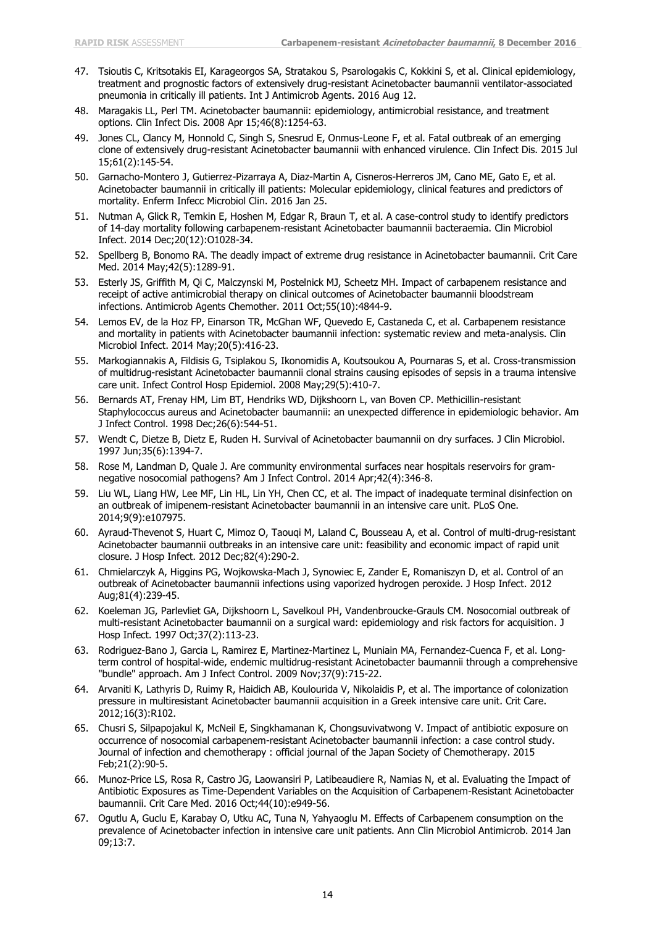- 47. Tsioutis C, Kritsotakis EI, Karageorgos SA, Stratakou S, Psarologakis C, Kokkini S, et al. Clinical epidemiology, treatment and prognostic factors of extensively drug-resistant Acinetobacter baumannii ventilator-associated pneumonia in critically ill patients. Int J Antimicrob Agents. 2016 Aug 12.
- 48. Maragakis LL, Perl TM. Acinetobacter baumannii: epidemiology, antimicrobial resistance, and treatment options. Clin Infect Dis. 2008 Apr 15;46(8):1254-63.
- 49. Jones CL, Clancy M, Honnold C, Singh S, Snesrud E, Onmus-Leone F, et al. Fatal outbreak of an emerging clone of extensively drug-resistant Acinetobacter baumannii with enhanced virulence. Clin Infect Dis. 2015 Jul 15;61(2):145-54.
- 50. Garnacho-Montero J, Gutierrez-Pizarraya A, Diaz-Martin A, Cisneros-Herreros JM, Cano ME, Gato E, et al. Acinetobacter baumannii in critically ill patients: Molecular epidemiology, clinical features and predictors of mortality. Enferm Infecc Microbiol Clin. 2016 Jan 25.
- 51. Nutman A, Glick R, Temkin E, Hoshen M, Edgar R, Braun T, et al. A case-control study to identify predictors of 14-day mortality following carbapenem-resistant Acinetobacter baumannii bacteraemia. Clin Microbiol Infect. 2014 Dec;20(12):O1028-34.
- 52. Spellberg B, Bonomo RA. The deadly impact of extreme drug resistance in Acinetobacter baumannii. Crit Care Med. 2014 May;42(5):1289-91.
- 53. Esterly JS, Griffith M, Qi C, Malczynski M, Postelnick MJ, Scheetz MH. Impact of carbapenem resistance and receipt of active antimicrobial therapy on clinical outcomes of Acinetobacter baumannii bloodstream infections. Antimicrob Agents Chemother. 2011 Oct;55(10):4844-9.
- 54. Lemos EV, de la Hoz FP, Einarson TR, McGhan WF, Quevedo E, Castaneda C, et al. Carbapenem resistance and mortality in patients with Acinetobacter baumannii infection: systematic review and meta-analysis. Clin Microbiol Infect. 2014 May;20(5):416-23.
- 55. Markogiannakis A, Fildisis G, Tsiplakou S, Ikonomidis A, Koutsoukou A, Pournaras S, et al. Cross-transmission of multidrug-resistant Acinetobacter baumannii clonal strains causing episodes of sepsis in a trauma intensive care unit. Infect Control Hosp Epidemiol. 2008 May;29(5):410-7.
- 56. Bernards AT, Frenay HM, Lim BT, Hendriks WD, Dijkshoorn L, van Boven CP. Methicillin-resistant Staphylococcus aureus and Acinetobacter baumannii: an unexpected difference in epidemiologic behavior. Am J Infect Control. 1998 Dec;26(6):544-51.
- 57. Wendt C, Dietze B, Dietz E, Ruden H. Survival of Acinetobacter baumannii on dry surfaces. J Clin Microbiol. 1997 Jun;35(6):1394-7.
- 58. Rose M, Landman D, Quale J. Are community environmental surfaces near hospitals reservoirs for gramnegative nosocomial pathogens? Am J Infect Control. 2014 Apr;42(4):346-8.
- 59. Liu WL, Liang HW, Lee MF, Lin HL, Lin YH, Chen CC, et al. The impact of inadequate terminal disinfection on an outbreak of imipenem-resistant Acinetobacter baumannii in an intensive care unit. PLoS One. 2014;9(9):e107975.
- 60. Ayraud-Thevenot S, Huart C, Mimoz O, Taouqi M, Laland C, Bousseau A, et al. Control of multi-drug-resistant Acinetobacter baumannii outbreaks in an intensive care unit: feasibility and economic impact of rapid unit closure. J Hosp Infect. 2012 Dec;82(4):290-2.
- 61. Chmielarczyk A, Higgins PG, Wojkowska-Mach J, Synowiec E, Zander E, Romaniszyn D, et al. Control of an outbreak of Acinetobacter baumannii infections using vaporized hydrogen peroxide. J Hosp Infect. 2012 Aug;81(4):239-45.
- 62. Koeleman JG, Parlevliet GA, Dijkshoorn L, Savelkoul PH, Vandenbroucke-Grauls CM. Nosocomial outbreak of multi-resistant Acinetobacter baumannii on a surgical ward: epidemiology and risk factors for acquisition. J Hosp Infect. 1997 Oct;37(2):113-23.
- 63. Rodriguez-Bano J, Garcia L, Ramirez E, Martinez-Martinez L, Muniain MA, Fernandez-Cuenca F, et al. Longterm control of hospital-wide, endemic multidrug-resistant Acinetobacter baumannii through a comprehensive "bundle" approach. Am J Infect Control. 2009 Nov;37(9):715-22.
- 64. Arvaniti K, Lathyris D, Ruimy R, Haidich AB, Koulourida V, Nikolaidis P, et al. The importance of colonization pressure in multiresistant Acinetobacter baumannii acquisition in a Greek intensive care unit. Crit Care. 2012;16(3):R102.
- 65. Chusri S, Silpapojakul K, McNeil E, Singkhamanan K, Chongsuvivatwong V. Impact of antibiotic exposure on occurrence of nosocomial carbapenem-resistant Acinetobacter baumannii infection: a case control study. Journal of infection and chemotherapy : official journal of the Japan Society of Chemotherapy. 2015 Feb;21(2):90-5.
- 66. Munoz-Price LS, Rosa R, Castro JG, Laowansiri P, Latibeaudiere R, Namias N, et al. Evaluating the Impact of Antibiotic Exposures as Time-Dependent Variables on the Acquisition of Carbapenem-Resistant Acinetobacter baumannii. Crit Care Med. 2016 Oct;44(10):e949-56.
- 67. Ogutlu A, Guclu E, Karabay O, Utku AC, Tuna N, Yahyaoglu M. Effects of Carbapenem consumption on the prevalence of Acinetobacter infection in intensive care unit patients. Ann Clin Microbiol Antimicrob. 2014 Jan 09;13:7.